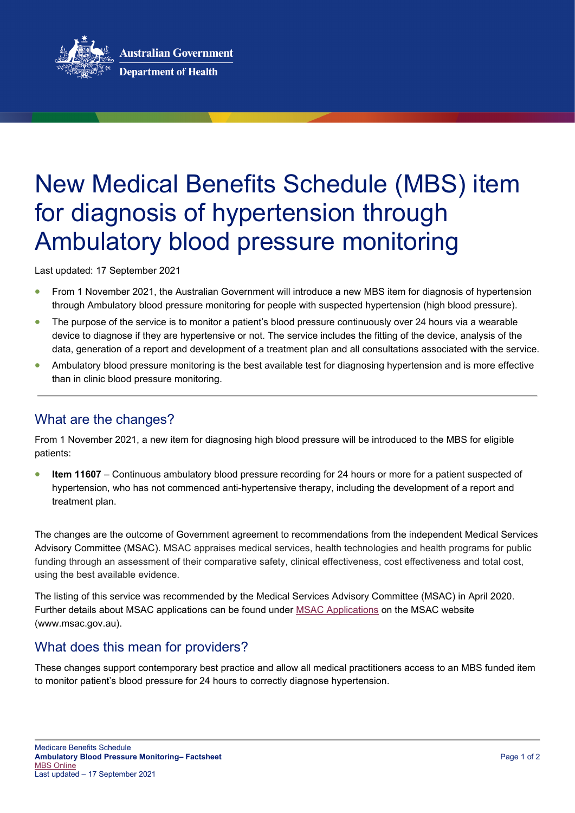

# New Medical Benefits Schedule (MBS) item for diagnosis of hypertension through Ambulatory blood pressure monitoring

Last updated: 17 September 2021

- From 1 November 2021, the Australian Government will introduce a new MBS item for diagnosis of hypertension through Ambulatory blood pressure monitoring for people with suspected hypertension (high blood pressure).
- The purpose of the service is to monitor a patient's blood pressure continuously over 24 hours via a wearable device to diagnose if they are hypertensive or not. The service includes the fitting of the device, analysis of the data, generation of a report and development of a treatment plan and all consultations associated with the service.
- Ambulatory blood pressure monitoring is the best available test for diagnosing hypertension and is more effective than in clinic blood pressure monitoring.

## What are the changes?

From 1 November 2021, a new item for diagnosing high blood pressure will be introduced to the MBS for eligible patients:

• **Item 11607** – Continuous ambulatory blood pressure recording for 24 hours or more for a patient suspected of hypertension, who has not commenced anti-hypertensive therapy, including the development of a report and treatment plan.

The changes are the outcome of Government agreement to recommendations from the independent Medical Services Advisory Committee (MSAC). MSAC appraises medical services, health technologies and health programs for public funding through an assessment of their comparative safety, clinical effectiveness, cost effectiveness and total cost, using the best available evidence.

The listing of this service was recommended by the Medical Services Advisory Committee (MSAC) in April 2020. Further details about MSAC applications can be found under [MSAC Applications](http://www.msac.gov.au/internet/msac/publishing.nsf/Content/application-page) on the MSAC website (www.msac.gov.au).

### What does this mean for providers?

These changes support contemporary best practice and allow all medical practitioners access to an MBS funded item to monitor patient's blood pressure for 24 hours to correctly diagnose hypertension.